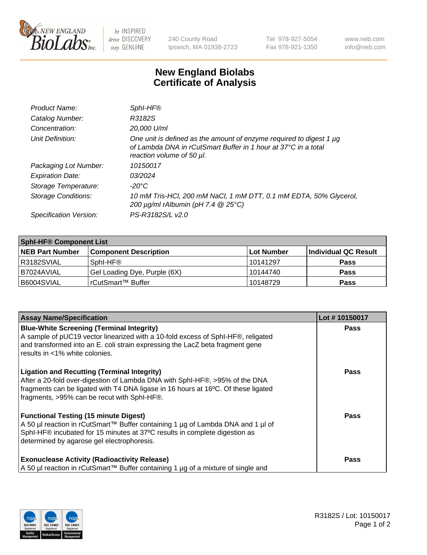

 $be$  INSPIRED drive DISCOVERY stay GENUINE

240 County Road Ipswich, MA 01938-2723 Tel 978-927-5054 Fax 978-921-1350 www.neb.com info@neb.com

## **New England Biolabs Certificate of Analysis**

| Product Name:              | SphI-HF®                                                                                                                                                           |
|----------------------------|--------------------------------------------------------------------------------------------------------------------------------------------------------------------|
| Catalog Number:            | R3182S                                                                                                                                                             |
| Concentration:             | 20,000 U/ml                                                                                                                                                        |
| Unit Definition:           | One unit is defined as the amount of enzyme required to digest 1 µg<br>of Lambda DNA in rCutSmart Buffer in 1 hour at 37°C in a total<br>reaction volume of 50 µl. |
| Packaging Lot Number:      | 10150017                                                                                                                                                           |
| <b>Expiration Date:</b>    | 03/2024                                                                                                                                                            |
| Storage Temperature:       | -20°C                                                                                                                                                              |
| <b>Storage Conditions:</b> | 10 mM Tris-HCl, 200 mM NaCl, 1 mM DTT, 0.1 mM EDTA, 50% Glycerol,<br>200 $\mu$ g/ml rAlbumin (pH 7.4 $@$ 25°C)                                                     |
| Specification Version:     | PS-R3182S/L v2.0                                                                                                                                                   |

| <b>Sphi-HF® Component List</b> |                              |            |                      |  |  |
|--------------------------------|------------------------------|------------|----------------------|--|--|
| <b>NEB Part Number</b>         | <b>Component Description</b> | Lot Number | Individual QC Result |  |  |
| I R3182SVIAL                   | Sphl-HF <sup>®</sup>         | l 10141297 | <b>Pass</b>          |  |  |
| I B7024AVIAL                   | Gel Loading Dye, Purple (6X) | 10144740   | <b>Pass</b>          |  |  |
| B6004SVIAL                     | rCutSmart™ Buffer            | 10148729   | <b>Pass</b>          |  |  |

| <b>Assay Name/Specification</b>                                                                                                                                                                                                                                       | Lot #10150017 |
|-----------------------------------------------------------------------------------------------------------------------------------------------------------------------------------------------------------------------------------------------------------------------|---------------|
| <b>Blue-White Screening (Terminal Integrity)</b><br>A sample of pUC19 vector linearized with a 10-fold excess of SphI-HF®, religated<br>and transformed into an E. coli strain expressing the LacZ beta fragment gene<br>results in <1% white colonies.               | <b>Pass</b>   |
| <b>Ligation and Recutting (Terminal Integrity)</b><br>After a 20-fold over-digestion of Lambda DNA with SphI-HF®, >95% of the DNA<br>fragments can be ligated with T4 DNA ligase in 16 hours at 16°C. Of these ligated<br>fragments, >95% can be recut with SphI-HF®. | <b>Pass</b>   |
| <b>Functional Testing (15 minute Digest)</b><br>A 50 µl reaction in rCutSmart™ Buffer containing 1 µg of Lambda DNA and 1 µl of<br>SphI-HF® incubated for 15 minutes at 37°C results in complete digestion as<br>determined by agarose gel electrophoresis.           | Pass          |
| <b>Exonuclease Activity (Radioactivity Release)</b><br>A 50 µl reaction in rCutSmart™ Buffer containing 1 µg of a mixture of single and                                                                                                                               | Pass          |